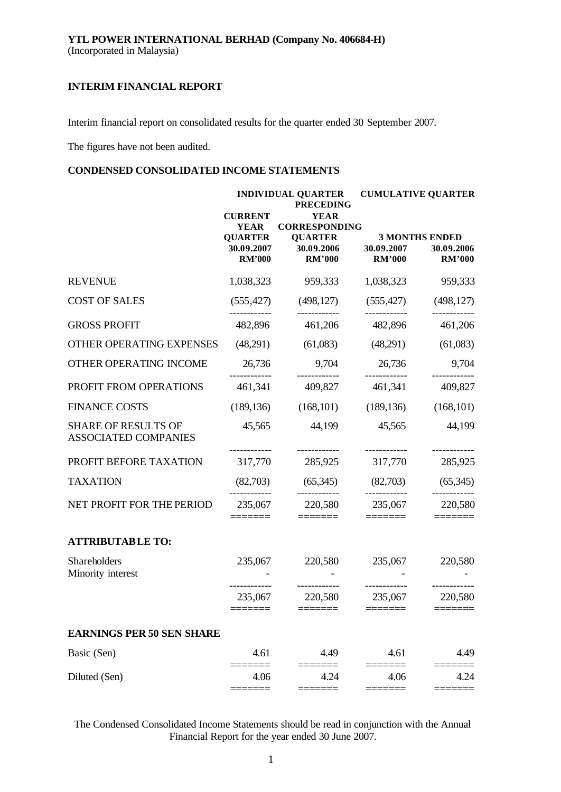Interim financial report on consolidated results for the quarter ended 30 September 2007.

The figures have not been audited.

# **CONDENSED CONSOLIDATED INCOME STATEMENTS**

|                                                           | <b>CURRENT</b><br><b>YEAR</b>                 | <b>INDIVIDUAL QUARTER</b><br><b>PRECEDING</b><br><b>YEAR</b><br><b>CORRESPONDING</b> | <b>CUMULATIVE QUARTER</b>   |                                                      |  |
|-----------------------------------------------------------|-----------------------------------------------|--------------------------------------------------------------------------------------|-----------------------------|------------------------------------------------------|--|
|                                                           | <b>QUARTER</b><br>30.09.2007<br><b>RM'000</b> | <b>QUARTER</b><br>30.09.2006<br><b>RM'000</b>                                        | 30.09.2007<br><b>RM'000</b> | <b>3 MONTHS ENDED</b><br>30.09.2006<br><b>RM'000</b> |  |
| <b>REVENUE</b>                                            | 1,038,323                                     | 959,333                                                                              | 1,038,323                   | 959,333                                              |  |
| <b>COST OF SALES</b>                                      | (555, 427)                                    | (498, 127)                                                                           | (555, 427)                  | (498, 127)                                           |  |
| <b>GROSS PROFIT</b>                                       | 482,896                                       | 461,206                                                                              | 482,896                     | 461,206                                              |  |
| OTHER OPERATING EXPENSES                                  | (48,291)                                      | (61,083)                                                                             | (48,291)                    | (61,083)                                             |  |
| OTHER OPERATING INCOME                                    | 26,736                                        | 9,704                                                                                | 26,736                      | 9,704                                                |  |
| PROFIT FROM OPERATIONS                                    | 461,341                                       | 409,827                                                                              | 461,341                     | 409,827                                              |  |
| <b>FINANCE COSTS</b>                                      | (189, 136)                                    | (168, 101)                                                                           | (189, 136)                  | (168, 101)                                           |  |
| <b>SHARE OF RESULTS OF</b><br><b>ASSOCIATED COMPANIES</b> | 45,565                                        | 44,199                                                                               | 45,565                      | 44,199                                               |  |
| PROFIT BEFORE TAXATION                                    | 317,770                                       | . <b>.</b> .<br>285,925                                                              | ------------<br>317,770     | 285,925                                              |  |
| <b>TAXATION</b>                                           | (82,703)                                      | (65,345)                                                                             | (82,703)                    | (65,345)                                             |  |
| NET PROFIT FOR THE PERIOD                                 | 235,067                                       | 220,580<br>======                                                                    | ------------<br>235,067     | 220,580                                              |  |
| <b>ATTRIBUTABLE TO:</b>                                   |                                               |                                                                                      |                             |                                                      |  |
| Shareholders<br>Minority interest                         | 235,067<br>__________                         | 220,580<br>.                                                                         | 235,067<br>------------     | 220,580                                              |  |
|                                                           | 235,067<br>======                             | 220,580                                                                              | 235,067                     | 220,580                                              |  |
| <b>EARNINGS PER 50 SEN SHARE</b>                          |                                               |                                                                                      |                             |                                                      |  |
| Basic (Sen)                                               | 4.61                                          | 4.49                                                                                 | 4.61                        | 4.49                                                 |  |
| Diluted (Sen)                                             | 4.06                                          | 4.24                                                                                 | 4.06                        | 4.24                                                 |  |

The Condensed Consolidated Income Statements should be read in conjunction with the Annual Financial Report for the year ended 30 June 2007.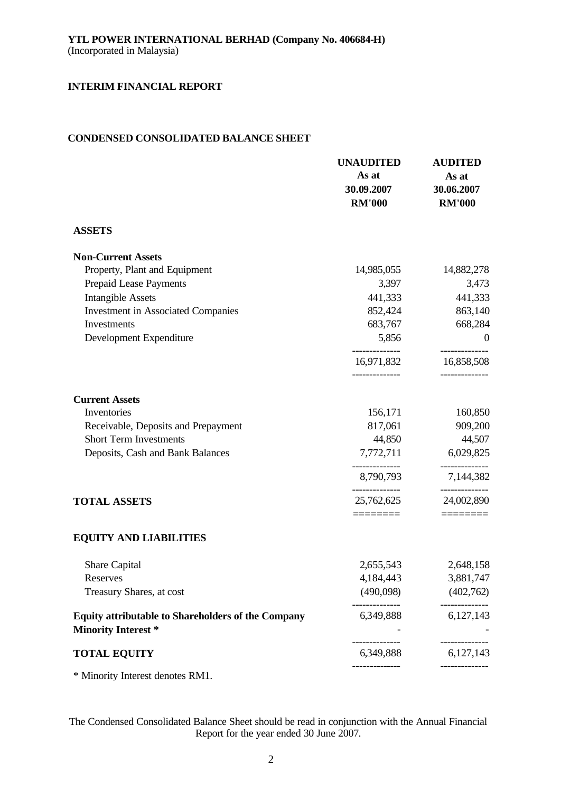# **CONDENSED CONSOLIDATED BALANCE SHEET**

|                                                                                         | <b>UNAUDITED</b><br>As at<br>30.09.2007<br><b>RM'000</b> | <b>AUDITED</b><br>As at<br>30.06.2007<br><b>RM'000</b> |
|-----------------------------------------------------------------------------------------|----------------------------------------------------------|--------------------------------------------------------|
| <b>ASSETS</b>                                                                           |                                                          |                                                        |
| <b>Non-Current Assets</b>                                                               |                                                          |                                                        |
| Property, Plant and Equipment                                                           | 14,985,055                                               | 14,882,278                                             |
| Prepaid Lease Payments                                                                  | 3,397                                                    | 3,473                                                  |
| <b>Intangible Assets</b>                                                                | 441,333                                                  | 441,333                                                |
| <b>Investment in Associated Companies</b>                                               | 852,424                                                  | 863,140                                                |
| Investments                                                                             | 683,767                                                  | 668,284                                                |
| Development Expenditure                                                                 | 5,856                                                    | $\overline{\phantom{0}}$                               |
|                                                                                         | 16,971,832                                               | 16,858,508                                             |
| <b>Current Assets</b>                                                                   |                                                          |                                                        |
| Inventories                                                                             | 156,171                                                  | 160,850                                                |
| Receivable, Deposits and Prepayment                                                     | 817,061                                                  | 909,200                                                |
| <b>Short Term Investments</b>                                                           | 44,850                                                   | 44,507                                                 |
| Deposits, Cash and Bank Balances                                                        |                                                          | 7,772,711 6,029,825                                    |
|                                                                                         | ------------<br>8,790,793                                | --------------<br>7,144,382                            |
| <b>TOTAL ASSETS</b>                                                                     | 25,762,625                                               | 24,002,890                                             |
|                                                                                         | ========                                                 | $=$ =======                                            |
| <b>EQUITY AND LIABILITIES</b>                                                           |                                                          |                                                        |
| Share Capital                                                                           | 2,655,543                                                | 2,648,158                                              |
| Reserves                                                                                | 4,184,443                                                | 3,881,747                                              |
| Treasury Shares, at cost                                                                | (490,098)                                                | (402,762)                                              |
| <b>Equity attributable to Shareholders of the Company</b><br><b>Minority Interest *</b> | 6,349,888                                                | 6,127,143                                              |
| <b>TOTAL EQUITY</b>                                                                     | 6,349,888                                                | 6,127,143                                              |
|                                                                                         |                                                          |                                                        |

\* Minority Interest denotes RM1.

The Condensed Consolidated Balance Sheet should be read in conjunction with the Annual Financial Report for the year ended 30 June 2007.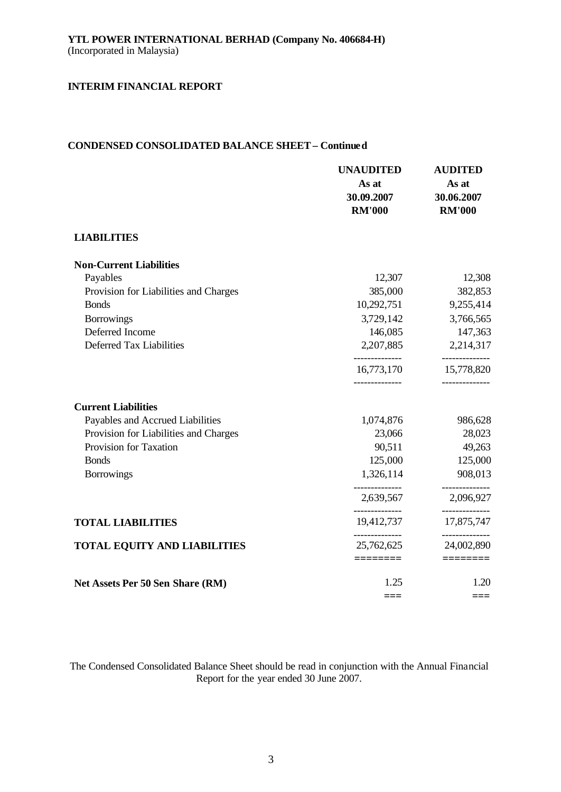# **CONDENSED CONSOLIDATED BALANCE SHEET – Continued**

|                                       | <b>UNAUDITED</b><br>As at<br>30.09.2007<br><b>RM'000</b> | <b>AUDITED</b><br>As at<br>30.06.2007<br><b>RM'000</b> |
|---------------------------------------|----------------------------------------------------------|--------------------------------------------------------|
| <b>LIABILITIES</b>                    |                                                          |                                                        |
| <b>Non-Current Liabilities</b>        |                                                          |                                                        |
| Payables                              | 12,307                                                   | 12,308                                                 |
| Provision for Liabilities and Charges | 385,000                                                  | 382,853                                                |
| <b>Bonds</b>                          | 10,292,751                                               | 9,255,414                                              |
| <b>Borrowings</b>                     | 3,729,142                                                | 3,766,565                                              |
| Deferred Income                       | 146,085                                                  | 147,363                                                |
| Deferred Tax Liabilities              | 2,207,885<br>--------------                              | 2,214,317<br>------------                              |
|                                       | 16,773,170                                               | 15,778,820                                             |
| <b>Current Liabilities</b>            |                                                          |                                                        |
| Payables and Accrued Liabilities      | 1,074,876                                                | 986,628                                                |
| Provision for Liabilities and Charges | 23,066                                                   | 28,023                                                 |
| Provision for Taxation                | 90,511                                                   | 49,263                                                 |
| <b>Bonds</b>                          | 125,000                                                  | 125,000                                                |
| <b>Borrowings</b>                     | 1,326,114                                                | 908,013                                                |
|                                       | 2,639,567                                                | 2,096,927                                              |
| <b>TOTAL LIABILITIES</b>              | 19,412,737                                               | 17,875,747                                             |
| <b>TOTAL EQUITY AND LIABILITIES</b>   | 25,762,625                                               | -----------<br>24,002,890                              |
|                                       | $=$ $=$ $=$ $=$ $=$ $=$ $=$                              |                                                        |
| Net Assets Per 50 Sen Share (RM)      | 1.25                                                     | 1.20                                                   |
|                                       | ===                                                      | ===                                                    |

The Condensed Consolidated Balance Sheet should be read in conjunction with the Annual Financial Report for the year ended 30 June 2007.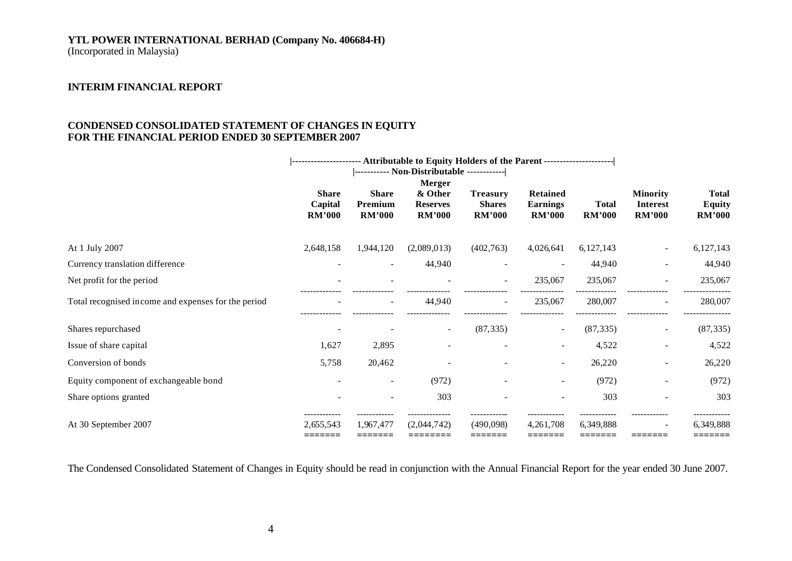# **YTL POWER INTERNATIONAL BERHAD (Company No. 406684-H)**

(Incorporated in Malaysia)

# **INTERIM FINANCIAL REPORT**

# **CONDENSED CONSOLIDATED STATEMENT OF CHANGES IN EQUITY FOR THE FINANCIAL PERIOD ENDED 30 SEPTEMBER 2007**

|                                                     |                                          |                                          | --------------------- Attributable to Equity Holders of the Parent ----------------------- |                                                   |                                                     |                               |                                                     |                                                |
|-----------------------------------------------------|------------------------------------------|------------------------------------------|--------------------------------------------------------------------------------------------|---------------------------------------------------|-----------------------------------------------------|-------------------------------|-----------------------------------------------------|------------------------------------------------|
|                                                     |                                          |                                          |                                                                                            |                                                   |                                                     |                               |                                                     |                                                |
|                                                     | <b>Share</b><br>Capital<br><b>RM'000</b> | <b>Share</b><br>Premium<br><b>RM'000</b> | Merger<br>& Other<br><b>Reserves</b><br><b>RM'000</b>                                      | <b>Treasury</b><br><b>Shares</b><br><b>RM'000</b> | <b>Retained</b><br><b>Earnings</b><br><b>RM'000</b> | <b>Total</b><br><b>RM'000</b> | <b>Minority</b><br><b>Interest</b><br><b>RM'000</b> | <b>Total</b><br><b>Equity</b><br><b>RM'000</b> |
| At 1 July 2007                                      | 2,648,158                                | 1,944,120                                | (2,089,013)                                                                                | (402,763)                                         | 4,026,641                                           | 6,127,143                     |                                                     | 6,127,143                                      |
| Currency translation difference                     |                                          |                                          | 44,940                                                                                     |                                                   |                                                     | 44,940                        |                                                     | 44,940                                         |
| Net profit for the period                           |                                          |                                          |                                                                                            |                                                   | 235,067                                             | 235,067                       |                                                     | 235,067                                        |
| Total recognised income and expenses for the period |                                          | $\overline{\phantom{a}}$                 | 44,940                                                                                     | $\overline{\phantom{a}}$                          | 235,067                                             | 280,007                       | $\overline{\phantom{0}}$                            | 280,007                                        |
| Shares repurchased                                  |                                          |                                          |                                                                                            | (87, 335)                                         |                                                     | (87, 335)                     |                                                     | (87, 335)                                      |
| Issue of share capital                              | 1,627                                    | 2,895                                    |                                                                                            |                                                   | $\overline{a}$                                      | 4,522                         |                                                     | 4,522                                          |
| Conversion of bonds                                 | 5,758                                    | 20,462                                   |                                                                                            |                                                   | $\overline{\phantom{a}}$                            | 26,220                        |                                                     | 26,220                                         |
| Equity component of exchangeable bond               | $\overline{a}$                           | $\overline{\phantom{a}}$                 | (972)                                                                                      |                                                   | $\overline{\phantom{a}}$                            | (972)                         | $\overline{\phantom{a}}$                            | (972)                                          |
| Share options granted                               |                                          | $\overline{\phantom{a}}$                 | 303                                                                                        |                                                   |                                                     | 303                           |                                                     | 303                                            |
| At 30 September 2007                                | 2,655,543<br>=======                     | 1.967.477<br>--------                    | (2.044.742)<br>---------                                                                   | (490.098)<br>=======                              | 4,261,708<br>=======                                | 6,349,888<br>_______          | --------                                            | 6,349,888<br>=======                           |

The Condensed Consolidated Statement of Changes in Equity should be read in conjunction with the Annual Financial Report for the year ended 30 June 2007.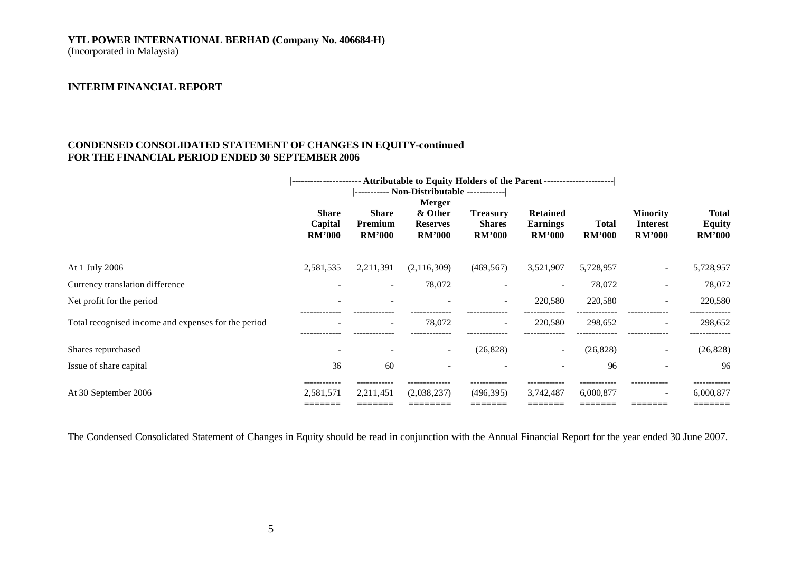# **YTL POWER INTERNATIONAL BERHAD (Company No. 406684-H)**

(Incorporated in Malaysia)

# **INTERIM FINANCIAL REPORT**

# **CONDENSED CONSOLIDATED STATEMENT OF CHANGES IN EQUITY-continued FOR THE FINANCIAL PERIOD ENDED 30 SEPTEMBER 2006**

|                                                     | --------------------- Attributable to Equity Holders of the Parent -------------------- |                                          |                                                              |                                                   |                                              |                               |                                                     |                                                |
|-----------------------------------------------------|-----------------------------------------------------------------------------------------|------------------------------------------|--------------------------------------------------------------|---------------------------------------------------|----------------------------------------------|-------------------------------|-----------------------------------------------------|------------------------------------------------|
|                                                     | <b>Share</b><br>Capital<br><b>RM'000</b>                                                | <b>Share</b><br>Premium<br><b>RM'000</b> | <b>Merger</b><br>& Other<br><b>Reserves</b><br><b>RM'000</b> | <b>Treasury</b><br><b>Shares</b><br><b>RM'000</b> | Retained<br><b>Earnings</b><br><b>RM'000</b> | <b>Total</b><br><b>RM'000</b> | <b>Minority</b><br><b>Interest</b><br><b>RM'000</b> | <b>Total</b><br><b>Equity</b><br><b>RM'000</b> |
| At 1 July 2006                                      | 2,581,535                                                                               | 2,211,391                                | (2, 116, 309)                                                | (469, 567)                                        | 3,521,907                                    | 5,728,957                     | $\overline{\phantom{a}}$                            | 5,728,957                                      |
| Currency translation difference                     |                                                                                         | $\overline{\phantom{a}}$                 | 78,072                                                       | $\overline{\phantom{a}}$                          |                                              | 78,072                        | $\overline{\phantom{a}}$                            | 78,072                                         |
| Net profit for the period                           |                                                                                         |                                          |                                                              | $\overline{\phantom{0}}$                          | 220,580                                      | 220,580                       | $\overline{\phantom{a}}$                            | 220,580                                        |
| Total recognised income and expenses for the period |                                                                                         | $\overline{\phantom{a}}$                 | 78,072                                                       | $\overline{a}$                                    | 220,580                                      | 298,652                       | $\overline{\phantom{a}}$                            | 298,652                                        |
| Shares repurchased                                  | -                                                                                       |                                          |                                                              | (26, 828)                                         |                                              | (26, 828)                     | $\overline{\phantom{a}}$                            | (26, 828)                                      |
| Issue of share capital                              | 36                                                                                      | 60                                       |                                                              |                                                   |                                              | 96                            |                                                     | 96                                             |
| At 30 September 2006                                | 2,581,571<br>_______                                                                    | 2,211,451<br>--------                    | (2,038,237)                                                  | (496,395)<br>_______                              | 3,742,487<br>--------                        | 6,000,877<br>_______          | $\overline{\phantom{a}}$<br>--------                | 6,000,877<br>_______                           |

The Condensed Consolidated Statement of Changes in Equity should be read in conjunction with the Annual Financial Report for the year ended 30 June 2007.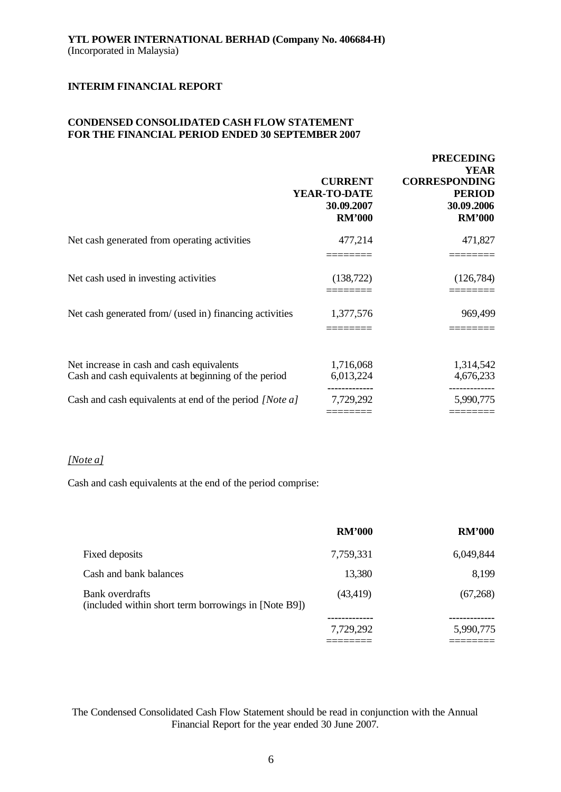# **CONDENSED CONSOLIDATED CASH FLOW STATEMENT FOR THE FINANCIAL PERIOD ENDED 30 SEPTEMBER 2007**

|                                                                                                   | <b>CURRENT</b><br>YEAR-TO-DATE<br>30.09.2007<br><b>RM'000</b> | <b>PRECEDING</b><br><b>YEAR</b><br><b>CORRESPONDING</b><br><b>PERIOD</b><br>30.09.2006<br><b>RM'000</b> |
|---------------------------------------------------------------------------------------------------|---------------------------------------------------------------|---------------------------------------------------------------------------------------------------------|
| Net cash generated from operating activities                                                      | 477,214                                                       | 471,827                                                                                                 |
| Net cash used in investing activities                                                             | (138, 722)                                                    | (126, 784)                                                                                              |
| Net cash generated from/ (used in) financing activities                                           | 1,377,576                                                     | 969,499                                                                                                 |
| Net increase in cash and cash equivalents<br>Cash and cash equivalents at beginning of the period | 1,716,068<br>6,013,224                                        | 1,314,542<br>4,676,233                                                                                  |
| Cash and cash equivalents at end of the period [Note a]                                           | 7,729,292                                                     | 5,990,775                                                                                               |

#### *[Note a]*

Cash and cash equivalents at the end of the period comprise:

|                                                                         | <b>RM'000</b> | <b>RM'000</b> |
|-------------------------------------------------------------------------|---------------|---------------|
| Fixed deposits                                                          | 7,759,331     | 6,049,844     |
| Cash and bank balances                                                  | 13,380        | 8,199         |
| Bank overdrafts<br>(included within short term borrowings in [Note B9]) | (43, 419)     | (67,268)      |
|                                                                         |               |               |
|                                                                         | 7,729,292     | 5,990,775     |
|                                                                         |               |               |

# The Condensed Consolidated Cash Flow Statement should be read in conjunction with the Annual Financial Report for the year ended 30 June 2007.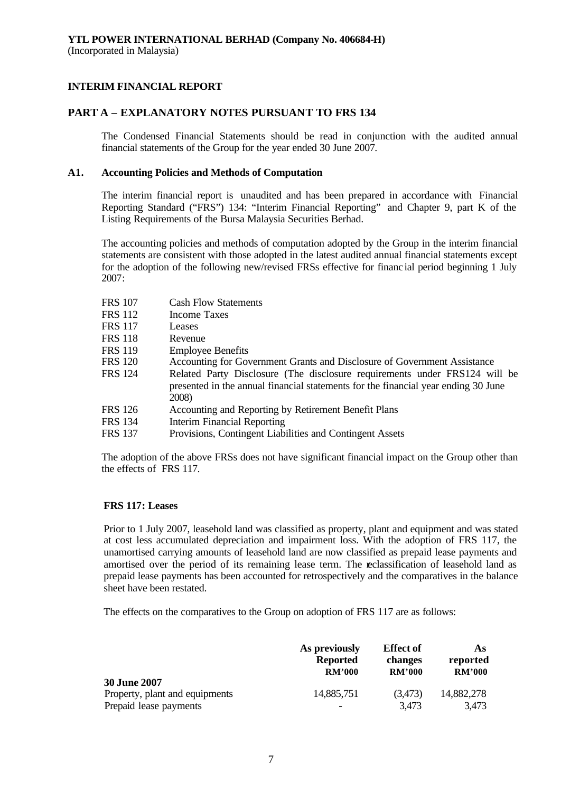# **PART A – EXPLANATORY NOTES PURSUANT TO FRS 134**

The Condensed Financial Statements should be read in conjunction with the audited annual financial statements of the Group for the year ended 30 June 2007.

### **A1. Accounting Policies and Methods of Computation**

The interim financial report is unaudited and has been prepared in accordance with Financial Reporting Standard ("FRS") 134: "Interim Financial Reporting" and Chapter 9, part K of the Listing Requirements of the Bursa Malaysia Securities Berhad.

The accounting policies and methods of computation adopted by the Group in the interim financial statements are consistent with those adopted in the latest audited annual financial statements except for the adoption of the following new/revised FRSs effective for financ ial period beginning 1 July 2007:

| <b>FRS 107</b> | <b>Cash Flow Statements</b>                                                                                                                                               |
|----------------|---------------------------------------------------------------------------------------------------------------------------------------------------------------------------|
| FRS 112        | <b>Income Taxes</b>                                                                                                                                                       |
| <b>FRS 117</b> | Leases                                                                                                                                                                    |
| <b>FRS 118</b> | Revenue                                                                                                                                                                   |
| <b>FRS 119</b> | <b>Employee Benefits</b>                                                                                                                                                  |
| <b>FRS 120</b> | Accounting for Government Grants and Disclosure of Government Assistance                                                                                                  |
| <b>FRS</b> 124 | Related Party Disclosure (The disclosure requirements under FRS124 will be<br>presented in the annual financial statements for the financial year ending 30 June<br>2008) |
| FRS 126        | Accounting and Reporting by Retirement Benefit Plans                                                                                                                      |
| <b>FRS 134</b> | <b>Interim Financial Reporting</b>                                                                                                                                        |
| <b>FRS 137</b> | Provisions, Contingent Liabilities and Contingent Assets                                                                                                                  |
|                |                                                                                                                                                                           |

The adoption of the above FRSs does not have significant financial impact on the Group other than the effects of FRS 117.

# **FRS 117: Leases**

Prior to 1 July 2007, leasehold land was classified as property, plant and equipment and was stated at cost less accumulated depreciation and impairment loss. With the adoption of FRS 117, the unamortised carrying amounts of leasehold land are now classified as prepaid lease payments and amortised over the period of its remaining lease term. The reclassification of leasehold land as prepaid lease payments has been accounted for retrospectively and the comparatives in the balance sheet have been restated.

The effects on the comparatives to the Group on adoption of FRS 117 are as follows:

|                                                                                 | As previously   | <b>Effect</b> of | As                  |
|---------------------------------------------------------------------------------|-----------------|------------------|---------------------|
|                                                                                 | <b>Reported</b> | changes          | reported            |
|                                                                                 | <b>RM'000</b>   | <b>RM'000</b>    | RM'000              |
| <b>30 June 2007</b><br>Property, plant and equipments<br>Prepaid lease payments | 14,885,751      | (3,473)<br>3,473 | 14,882,278<br>3,473 |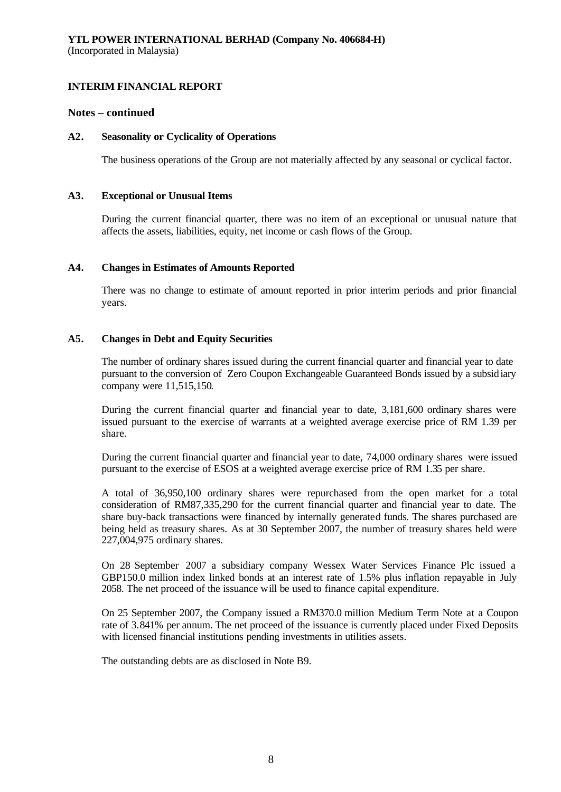# **Notes – continued**

# **A2. Seasonality or Cyclicality of Operations**

The business operations of the Group are not materially affected by any seasonal or cyclical factor.

### **A3. Exceptional or Unusual Items**

During the current financial quarter, there was no item of an exceptional or unusual nature that affects the assets, liabilities, equity, net income or cash flows of the Group.

### **A4. Changes in Estimates of Amounts Reported**

There was no change to estimate of amount reported in prior interim periods and prior financial years.

# **A5. Changes in Debt and Equity Securities**

The number of ordinary shares issued during the current financial quarter and financial year to date pursuant to the conversion of Zero Coupon Exchangeable Guaranteed Bonds issued by a subsidiary company were 11,515,150.

During the current financial quarter and financial year to date, 3,181,600 ordinary shares were issued pursuant to the exercise of warrants at a weighted average exercise price of RM 1.39 per share.

During the current financial quarter and financial year to date, 74,000 ordinary shares were issued pursuant to the exercise of ESOS at a weighted average exercise price of RM 1.35 per share.

A total of 36,950,100 ordinary shares were repurchased from the open market for a total consideration of RM87,335,290 for the current financial quarter and financial year to date. The share buy-back transactions were financed by internally generated funds. The shares purchased are being held as treasury shares. As at 30 September 2007, the number of treasury shares held were 227,004,975 ordinary shares.

On 28 September 2007 a subsidiary company Wessex Water Services Finance Plc issued a GBP150.0 million index linked bonds at an interest rate of 1.5% plus inflation repayable in July 2058. The net proceed of the issuance will be used to finance capital expenditure.

On 25 September 2007, the Company issued a RM370.0 million Medium Term Note at a Coupon rate of 3.841% per annum. The net proceed of the issuance is currently placed under Fixed Deposits with licensed financial institutions pending investments in utilities assets.

The outstanding debts are as disclosed in Note B9.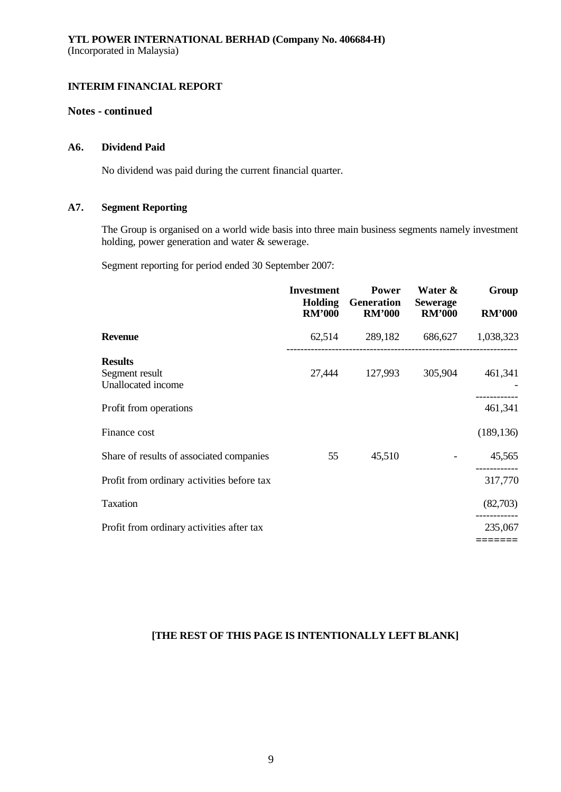# **Notes - continued**

# **A6. Dividend Paid**

No dividend was paid during the current financial quarter.

# **A7. Segment Reporting**

The Group is organised on a world wide basis into three main business segments namely investment holding, power generation and water & sewerage.

Segment reporting for period ended 30 September 2007:

|                                                        | <b>Investment</b><br><b>Holding</b><br><b>RM'000</b> | <b>Power</b><br>Generation<br><b>RM'000</b> | Water &<br><b>Sewerage</b><br><b>RM'000</b> | Group<br><b>RM'000</b> |
|--------------------------------------------------------|------------------------------------------------------|---------------------------------------------|---------------------------------------------|------------------------|
| <b>Revenue</b>                                         | 62,514                                               | 289,182                                     | 686,627                                     | 1,038,323              |
| <b>Results</b><br>Segment result<br>Unallocated income | 27,444                                               | 127,993                                     | 305,904                                     | 461,341                |
| Profit from operations                                 |                                                      |                                             |                                             | 461,341                |
| Finance cost                                           |                                                      |                                             |                                             | (189, 136)             |
| Share of results of associated companies               | 55                                                   | 45,510                                      |                                             | 45,565                 |
| Profit from ordinary activities before tax             |                                                      |                                             |                                             | 317,770                |
| Taxation                                               |                                                      |                                             |                                             | (82,703)               |
| Profit from ordinary activities after tax              |                                                      |                                             |                                             | 235,067                |
|                                                        |                                                      |                                             |                                             |                        |

# **[THE REST OF THIS PAGE IS INTENTIONALLY LEFT BLANK]**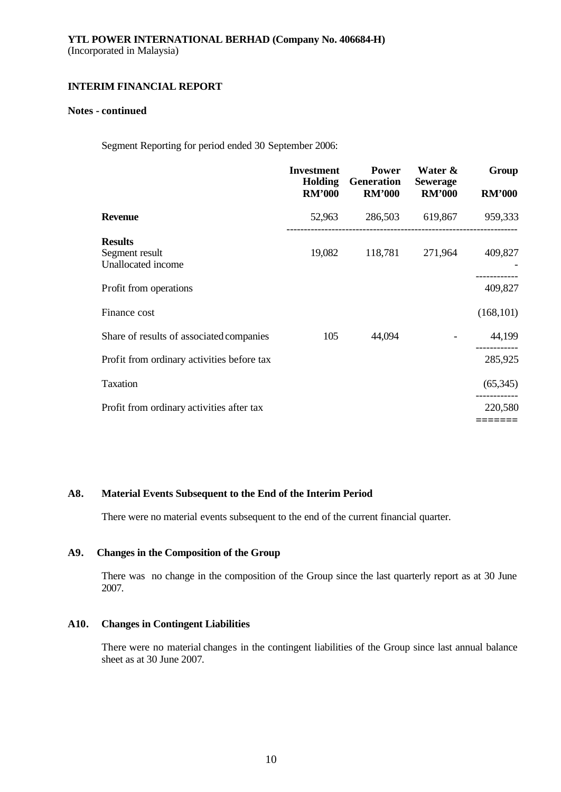### **Notes - continued**

Segment Reporting for period ended 30 September 2006:

|                                                        | <b>Investment</b><br><b>Holding</b><br><b>RM'000</b> | <b>Power</b><br>Generation<br><b>RM'000</b> | Water &<br><b>Sewerage</b><br><b>RM'000</b> | Group<br><b>RM'000</b> |
|--------------------------------------------------------|------------------------------------------------------|---------------------------------------------|---------------------------------------------|------------------------|
| <b>Revenue</b>                                         | 52,963                                               |                                             | 286,503 619,867                             | 959,333                |
| <b>Results</b><br>Segment result<br>Unallocated income | 19,082                                               | 118,781                                     | 271,964                                     | 409,827                |
| Profit from operations                                 |                                                      |                                             |                                             | 409,827                |
| Finance cost                                           |                                                      |                                             |                                             | (168, 101)             |
| Share of results of associated companies               | 105                                                  | 44,094                                      |                                             | 44,199                 |
| Profit from ordinary activities before tax             |                                                      |                                             |                                             | 285,925                |
| Taxation                                               |                                                      |                                             |                                             | (65, 345)              |
| Profit from ordinary activities after tax              |                                                      |                                             |                                             | 220,580                |
|                                                        |                                                      |                                             |                                             |                        |

# **A8. Material Events Subsequent to the End of the Interim Period**

There were no material events subsequent to the end of the current financial quarter.

# **A9. Changes in the Composition of the Group**

There was no change in the composition of the Group since the last quarterly report as at 30 June 2007.

# **A10. Changes in Contingent Liabilities**

There were no material changes in the contingent liabilities of the Group since last annual balance sheet as at 30 June 2007.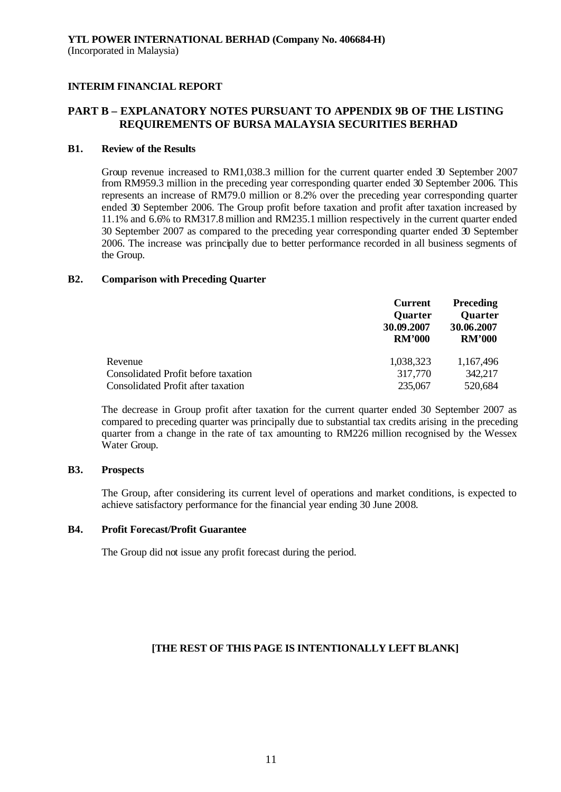# **PART B – EXPLANATORY NOTES PURSUANT TO APPENDIX 9B OF THE LISTING REQUIREMENTS OF BURSA MALAYSIA SECURITIES BERHAD**

### **B1. Review of the Results**

Group revenue increased to RM1,038.3 million for the current quarter ended 30 September 2007 from RM959.3 million in the preceding year corresponding quarter ended 30 September 2006. This represents an increase of RM79.0 million or 8.2% over the preceding year corresponding quarter ended 30 September 2006. The Group profit before taxation and profit after taxation increased by 11.1% and 6.6% to RM317.8 million and RM235.1 million respectively in the current quarter ended 30 September 2007 as compared to the preceding year corresponding quarter ended 30 September 2006. The increase was principally due to better performance recorded in all business segments of the Group.

### **B2. Comparison with Preceding Quarter**

|                                     | <b>Current</b><br>Quarter<br>30.09.2007<br><b>RM'000</b> | <b>Preceding</b><br><b>Quarter</b><br>30.06.2007<br><b>RM'000</b> |
|-------------------------------------|----------------------------------------------------------|-------------------------------------------------------------------|
| Revenue                             | 1,038,323                                                | 1,167,496                                                         |
| Consolidated Profit before taxation | 317,770                                                  | 342,217                                                           |
| Consolidated Profit after taxation  | 235,067                                                  | 520,684                                                           |

The decrease in Group profit after taxation for the current quarter ended 30 September 2007 as compared to preceding quarter was principally due to substantial tax credits arising in the preceding quarter from a change in the rate of tax amounting to RM226 million recognised by the Wessex Water Group.

### **B3. Prospects**

The Group, after considering its current level of operations and market conditions, is expected to achieve satisfactory performance for the financial year ending 30 June 2008.

# **B4. Profit Forecast/Profit Guarantee**

The Group did not issue any profit forecast during the period.

# **[THE REST OF THIS PAGE IS INTENTIONALLY LEFT BLANK]**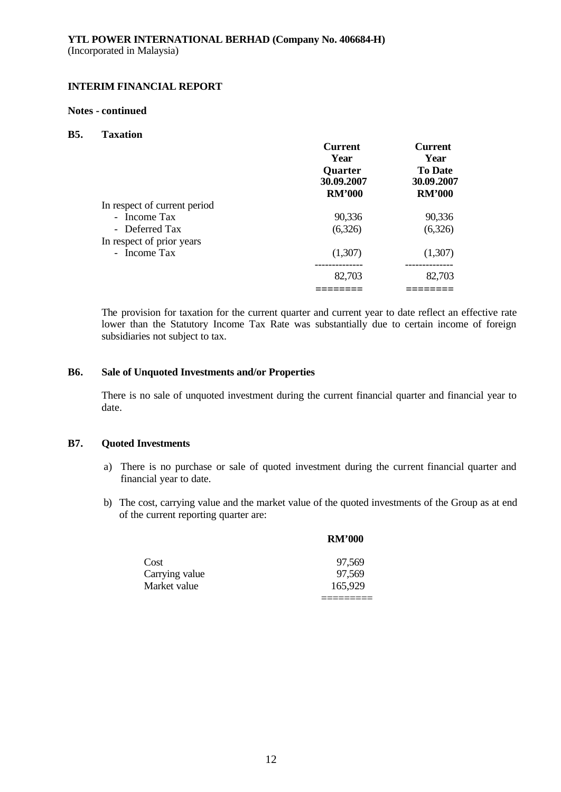### **Notes - continued**

#### **B5. Taxation**

|                              | <b>Current</b><br>Year<br>Quarter<br>30.09.2007 | <b>Current</b><br>Year<br><b>To Date</b><br>30.09.2007 |
|------------------------------|-------------------------------------------------|--------------------------------------------------------|
|                              | <b>RM'000</b>                                   | <b>RM'000</b>                                          |
| In respect of current period |                                                 |                                                        |
| - Income Tax                 | 90,336                                          | 90,336                                                 |
| - Deferred Tax               | (6,326)                                         | (6,326)                                                |
| In respect of prior years    |                                                 |                                                        |
| - Income Tax                 | (1,307)                                         | (1,307)                                                |
|                              | 82,703                                          | 82,703                                                 |
|                              |                                                 |                                                        |

The provision for taxation for the current quarter and current year to date reflect an effective rate lower than the Statutory Income Tax Rate was substantially due to certain income of foreign subsidiaries not subject to tax.

### **B6. Sale of Unquoted Investments and/or Properties**

There is no sale of unquoted investment during the current financial quarter and financial year to date.

### **B7. Quoted Investments**

- a) There is no purchase or sale of quoted investment during the current financial quarter and financial year to date.
- b) The cost, carrying value and the market value of the quoted investments of the Group as at end of the current reporting quarter are:

|                | <b>RM'000</b> |
|----------------|---------------|
| Cost           | 97,569        |
| Carrying value | 97,569        |
| Market value   | 165,929       |
|                |               |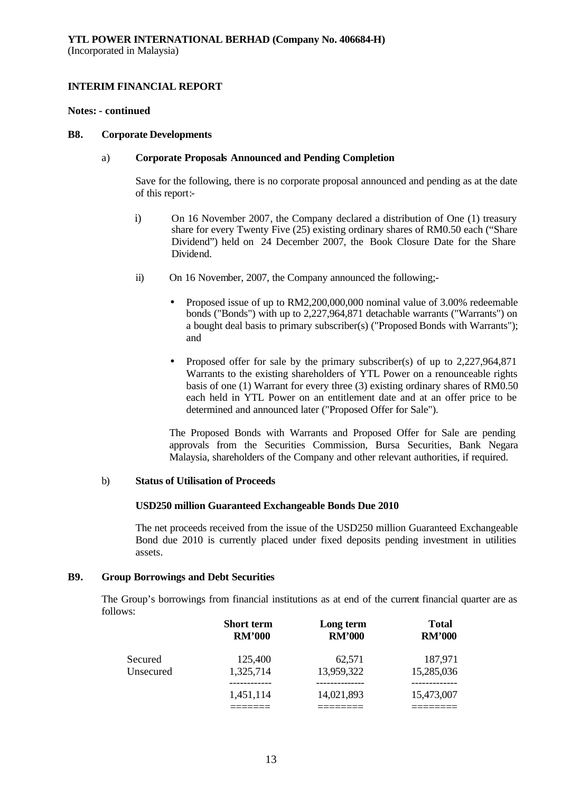### **Notes: - continued**

#### **B8. Corporate Developments**

### a) **Corporate Proposals Announced and Pending Completion**

Save for the following, there is no corporate proposal announced and pending as at the date of this report:-

- i) On 16 November 2007, the Company declared a distribution of One (1) treasury share for every Twenty Five (25) existing ordinary shares of RM0.50 each ("Share Dividend") held on 24 December 2007, the Book Closure Date for the Share **Dividend**
- ii) On 16 November, 2007, the Company announced the following;-
	- Proposed issue of up to RM2, 200, 000, 000 nominal value of 3.00% redeemable bonds ("Bonds") with up to 2,227,964,871 detachable warrants ("Warrants") on a bought deal basis to primary subscriber(s) ("Proposed Bonds with Warrants"); and
	- Proposed offer for sale by the primary subscriber(s) of up to 2,227,964,871 Warrants to the existing shareholders of YTL Power on a renounceable rights basis of one (1) Warrant for every three (3) existing ordinary shares of RM0.50 each held in YTL Power on an entitlement date and at an offer price to be determined and announced later ("Proposed Offer for Sale").

The Proposed Bonds with Warrants and Proposed Offer for Sale are pending approvals from the Securities Commission, Bursa Securities, Bank Negara Malaysia, shareholders of the Company and other relevant authorities, if required.

### b) **Status of Utilisation of Proceeds**

# **USD250 million Guaranteed Exchangeable Bonds Due 2010**

The net proceeds received from the issue of the USD250 million Guaranteed Exchangeable Bond due 2010 is currently placed under fixed deposits pending investment in utilities assets.

# **B9. Group Borrowings and Debt Securities**

The Group's borrowings from financial institutions as at end of the current financial quarter are as follows:

|           | <b>Short term</b><br><b>RM'000</b> | Long term<br><b>RM'000</b> | <b>Total</b><br><b>RM'000</b> |
|-----------|------------------------------------|----------------------------|-------------------------------|
| Secured   | 125,400                            | 62,571                     | 187,971                       |
| Unsecured | 1,325,714                          | 13,959,322                 | 15,285,036                    |
|           | 1,451,114                          | 14,021,893                 | 15,473,007                    |
|           |                                    |                            |                               |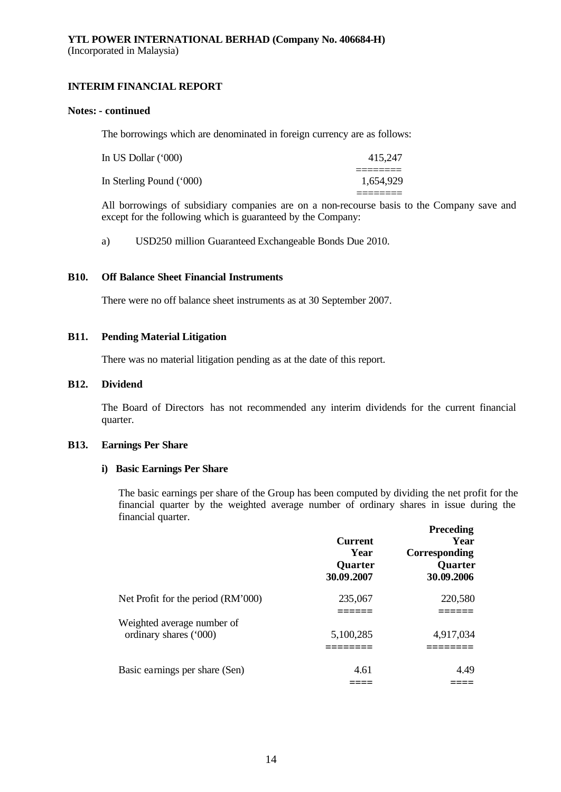### **Notes: - continued**

The borrowings which are denominated in foreign currency are as follows:

| In US Dollar (*000)      | 415,247   |
|--------------------------|-----------|
| In Sterling Pound ('000) | 1.654.929 |
|                          |           |

All borrowings of subsidiary companies are on a non-recourse basis to the Company save and except for the following which is guaranteed by the Company:

a) USD250 million Guaranteed Exchangeable Bonds Due 2010.

# **B10. Off Balance Sheet Financial Instruments**

There were no off balance sheet instruments as at 30 September 2007.

# **B11. Pending Material Litigation**

There was no material litigation pending as at the date of this report.

# **B12. Dividend**

The Board of Directors has not recommended any interim dividends for the current financial quarter.

### **B13. Earnings Per Share**

### **i) Basic Earnings Per Share**

The basic earnings per share of the Group has been computed by dividing the net profit for the financial quarter by the weighted average number of ordinary shares in issue during the financial quarter.

|                                    | <b>Current</b><br>Year<br>Quarter<br>30.09.2007 | <b>Preceding</b><br>Year<br>Corresponding<br>Quarter<br>30.09.2006 |
|------------------------------------|-------------------------------------------------|--------------------------------------------------------------------|
| Net Profit for the period (RM'000) | 235,067                                         | 220,580                                                            |
|                                    |                                                 |                                                                    |
| Weighted average number of         |                                                 |                                                                    |
| ordinary shares ('000)             | 5,100,285                                       | 4,917,034                                                          |
|                                    |                                                 |                                                                    |
| Basic earnings per share (Sen)     | 4.61                                            | 4.49                                                               |
|                                    |                                                 |                                                                    |